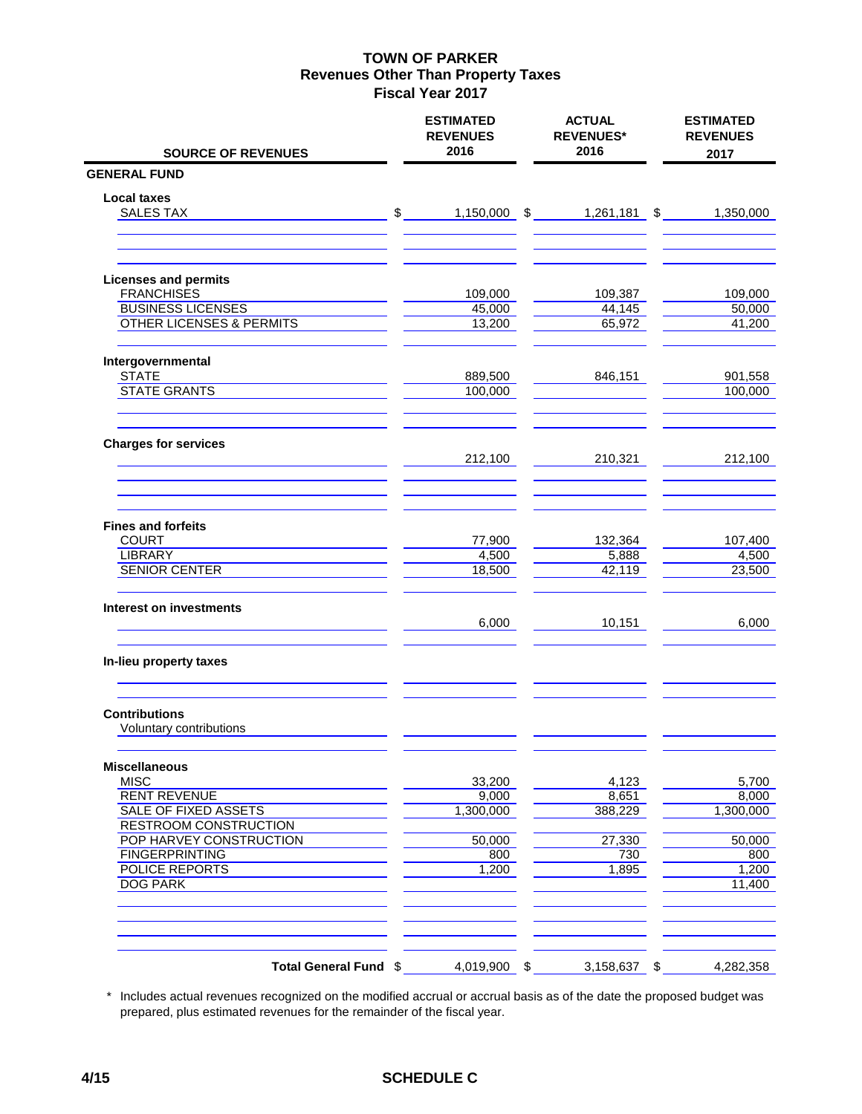| <b>SOURCE OF REVENUES</b>                   | <b>ESTIMATED</b><br><b>REVENUES</b><br>2016 | <b>ACTUAL</b><br><b>REVENUES*</b><br>2016 | <b>ESTIMATED</b><br><b>REVENUES</b><br>2017 |
|---------------------------------------------|---------------------------------------------|-------------------------------------------|---------------------------------------------|
| <b>GENERAL FUND</b>                         |                                             |                                           |                                             |
|                                             |                                             |                                           |                                             |
| <b>Local taxes</b><br><b>SALES TAX</b>      | $\frac{1}{2}$                               | 1,150,000 \$ 1,261,181 \$                 | 1,350,000                                   |
|                                             |                                             |                                           |                                             |
| <b>Licenses and permits</b>                 |                                             |                                           |                                             |
| <b>FRANCHISES</b>                           | 109,000                                     | 109,387                                   | 109,000                                     |
| <b>BUSINESS LICENSES</b>                    | 45,000                                      | 44,145                                    | 50,000                                      |
| <b>OTHER LICENSES &amp; PERMITS</b>         | 13,200                                      | 65,972                                    | 41,200                                      |
| Intergovernmental                           |                                             |                                           |                                             |
| <b>STATE</b><br><b>STATE GRANTS</b>         | 889,500                                     | 846,151                                   | 901,558                                     |
|                                             | 100,000                                     |                                           | 100,000                                     |
| <b>Charges for services</b>                 |                                             |                                           |                                             |
|                                             | 212,100                                     | 210,321                                   | 212,100                                     |
|                                             |                                             |                                           |                                             |
| <b>Fines and forfeits</b>                   |                                             |                                           |                                             |
| <b>COURT</b><br><b>LIBRARY</b>              | 77,900<br>4,500                             | 132,364<br>5,888                          | 107,400<br>4,500                            |
| <b>SENIOR CENTER</b>                        | 18,500                                      | 42,119                                    | 23,500                                      |
| Interest on investments                     |                                             |                                           |                                             |
|                                             | 6,000                                       | 10,151                                    | 6,000                                       |
| In-lieu property taxes                      |                                             |                                           |                                             |
| <b>Contributions</b>                        |                                             |                                           |                                             |
| Voluntary contributions                     |                                             |                                           |                                             |
| <b>Miscellaneous</b>                        |                                             |                                           |                                             |
| <b>MISC</b>                                 | 33,200                                      | 4,123                                     | 5,700                                       |
| <b>RENT REVENUE</b><br>SALE OF FIXED ASSETS | 9,000                                       | 8,651                                     | 8,000                                       |
| <b>RESTROOM CONSTRUCTION</b>                | 1,300,000                                   | 388,229                                   | 1,300,000                                   |
| POP HARVEY CONSTRUCTION                     | 50,000                                      | 27,330                                    | 50,000                                      |
| <b>FINGERPRINTING</b>                       | 800                                         | 730                                       | 800                                         |
| <b>POLICE REPORTS</b>                       | 1,200                                       | 1,895                                     | 1,200                                       |
| <b>DOG PARK</b>                             |                                             |                                           | 11,400                                      |
|                                             |                                             |                                           |                                             |
| Total General Fund \$                       | 4,019,900 \$                                | 3,158,637 \$                              | 4,282,358                                   |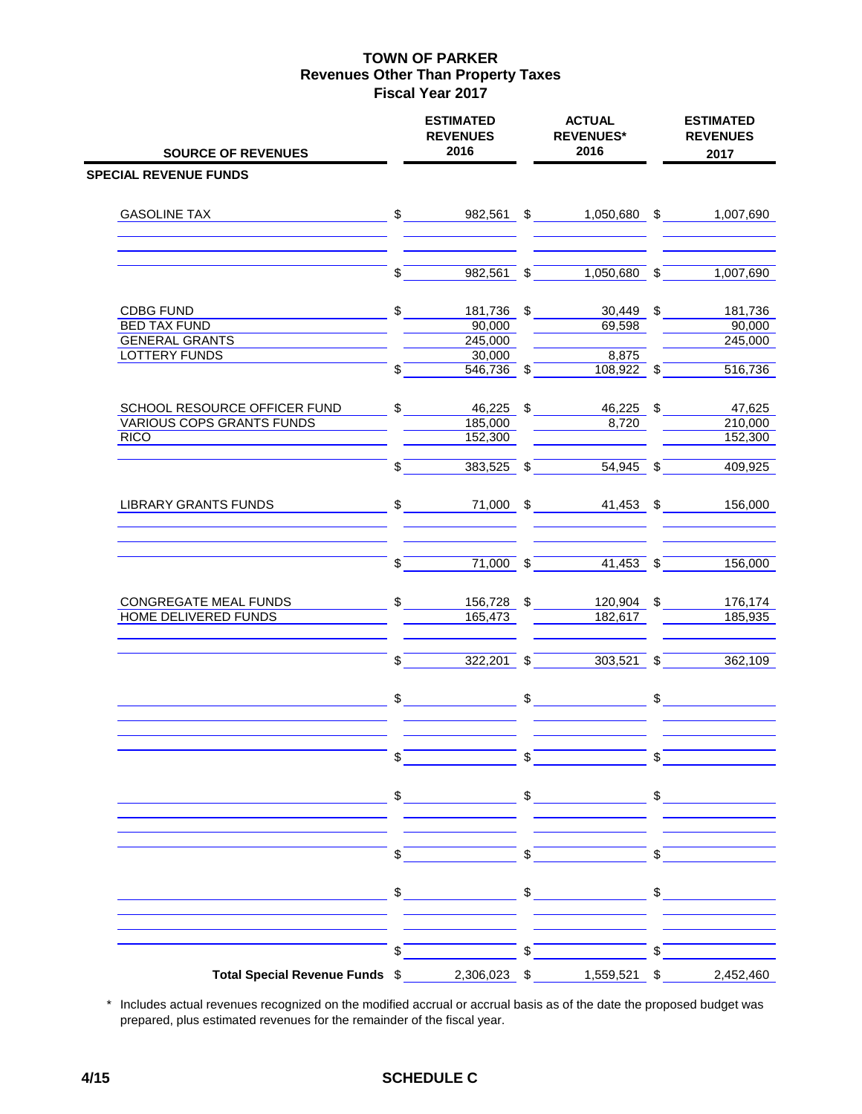| <b>SOURCE OF REVENUES</b>                              |               | <b>ESTIMATED</b><br><b>REVENUES</b><br>2016 |                         | <b>ACTUAL</b><br><b>REVENUES*</b><br>2016 |                          | <b>ESTIMATED</b><br><b>REVENUES</b><br>2017 |
|--------------------------------------------------------|---------------|---------------------------------------------|-------------------------|-------------------------------------------|--------------------------|---------------------------------------------|
| <b>SPECIAL REVENUE FUNDS</b>                           |               |                                             |                         |                                           |                          |                                             |
| <b>GASOLINE TAX</b>                                    |               | $\frac{1}{2}$<br>982,561 \$                 |                         | 1,050,680 \$                              |                          | 1,007,690                                   |
|                                                        | \$            | $982,561$ \$                                |                         | $1,050,680$ \$                            |                          | 1,007,690                                   |
|                                                        |               |                                             |                         |                                           |                          |                                             |
| <b>CDBG FUND</b>                                       | \$            | 181,736                                     | \$                      | 30,449 \$                                 |                          | 181,736                                     |
| <b>BED TAX FUND</b>                                    |               | 90,000                                      |                         | 69,598                                    |                          | 90,000                                      |
| <b>GENERAL GRANTS</b>                                  |               | 245,000                                     |                         |                                           |                          | 245,000                                     |
| <b>LOTTERY FUNDS</b>                                   | $\mathbb{S}$  | 30,000<br>546,736 \$                        |                         | 8,875<br>108,922 \$                       |                          | 516,736                                     |
| SCHOOL RESOURCE OFFICER FUND                           | $\frac{1}{2}$ | 46,225 \$                                   |                         | 46,225                                    | \$                       | 47,625                                      |
| <b>VARIOUS COPS GRANTS FUNDS</b>                       |               | 185,000                                     |                         | 8,720                                     |                          | 210,000                                     |
| <b>RICO</b>                                            |               | 152,300                                     |                         |                                           |                          | 152,300                                     |
|                                                        | \$            | $383,525$ \$                                |                         | $54,945$ \$                               |                          | 409,925                                     |
| LIBRARY GRANTS FUNDS                                   |               | $\sim$                                      |                         | 71,000 \$<br>41,453 \$                    |                          | 156,000                                     |
|                                                        | \$            | $71,000$ \$                                 |                         | $41,453$ \$                               |                          | 156,000                                     |
| CONGREGATE MEAL FUNDS                                  | \$            | 156,728 \$                                  |                         | 120,904 \$                                |                          | 176,174                                     |
| HOME DELIVERED FUNDS                                   |               | 165,473                                     |                         | 182,617                                   |                          | 185,935                                     |
|                                                        | \$            | $322,201$ \$                                |                         | $303,521$ \$                              |                          | 362,109                                     |
|                                                        | \$            |                                             | $\frac{1}{2}$           |                                           | \$                       |                                             |
|                                                        |               |                                             | $\mathsf{s}$            |                                           | $\mathbb S$              |                                             |
|                                                        |               |                                             |                         |                                           |                          |                                             |
|                                                        | $\sqrt{s}$    |                                             | $\sqrt[3]{\phantom{a}}$ |                                           | $\overline{\mathcal{S}}$ |                                             |
|                                                        |               |                                             |                         | $\frac{1}{2}$ \$                          |                          |                                             |
|                                                        | \$            |                                             | $\overline{\mathbb{S}}$ |                                           | $\mathbf{\hat{s}}$       |                                             |
| Total Special Revenue Funds \$2,306,023 \$1,559,521 \$ |               |                                             |                         |                                           |                          | 2,452,460                                   |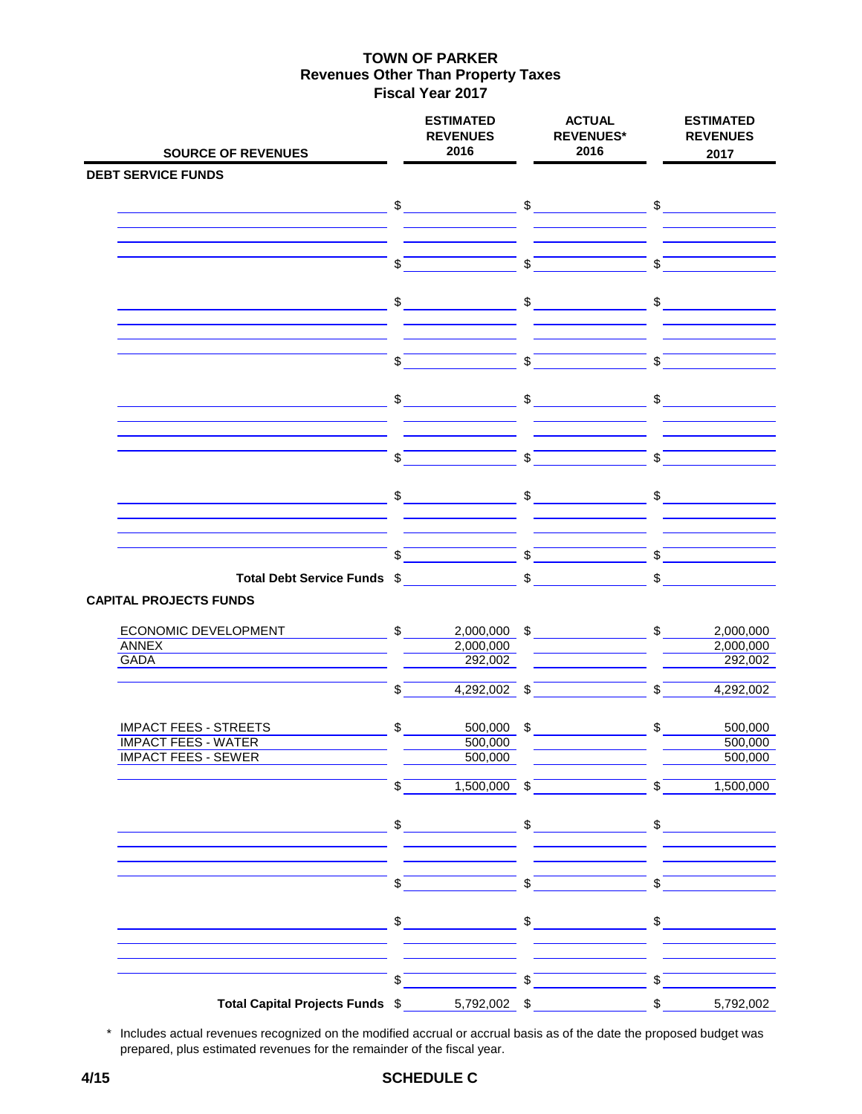| <b>SOURCE OF REVENUES</b>                                                       |                           | <b>ESTIMATED</b><br><b>REVENUES</b><br>2016 | <b>ACTUAL</b><br><b>REVENUES*</b><br>2016                                                                                                                                                                                                                                                                           |                            | <b>ESTIMATED</b><br><b>REVENUES</b><br>2017                                                                                                                                                                                                                                                                                                         |
|---------------------------------------------------------------------------------|---------------------------|---------------------------------------------|---------------------------------------------------------------------------------------------------------------------------------------------------------------------------------------------------------------------------------------------------------------------------------------------------------------------|----------------------------|-----------------------------------------------------------------------------------------------------------------------------------------------------------------------------------------------------------------------------------------------------------------------------------------------------------------------------------------------------|
| <b>DEBT SERVICE FUNDS</b>                                                       |                           |                                             |                                                                                                                                                                                                                                                                                                                     |                            |                                                                                                                                                                                                                                                                                                                                                     |
|                                                                                 |                           | $\sim$                                      | $\sim$                                                                                                                                                                                                                                                                                                              |                            | $\sim$                                                                                                                                                                                                                                                                                                                                              |
|                                                                                 |                           |                                             |                                                                                                                                                                                                                                                                                                                     |                            |                                                                                                                                                                                                                                                                                                                                                     |
|                                                                                 |                           |                                             |                                                                                                                                                                                                                                                                                                                     |                            |                                                                                                                                                                                                                                                                                                                                                     |
|                                                                                 | \$                        |                                             | \$                                                                                                                                                                                                                                                                                                                  | $\mathfrak{S}$             |                                                                                                                                                                                                                                                                                                                                                     |
|                                                                                 | $\frac{1}{2}$             |                                             | $\$\$                                                                                                                                                                                                                                                                                                               |                            | $\sim$                                                                                                                                                                                                                                                                                                                                              |
|                                                                                 |                           |                                             |                                                                                                                                                                                                                                                                                                                     |                            |                                                                                                                                                                                                                                                                                                                                                     |
|                                                                                 | $\boldsymbol{\mathsf{S}}$ |                                             | \$                                                                                                                                                                                                                                                                                                                  | $\mathbb S$                |                                                                                                                                                                                                                                                                                                                                                     |
|                                                                                 | $\frac{1}{\sqrt{2}}$      |                                             | $\frac{1}{\sqrt{2}}$                                                                                                                                                                                                                                                                                                | $$\overline{\phantom{a}}$$ |                                                                                                                                                                                                                                                                                                                                                     |
|                                                                                 |                           |                                             |                                                                                                                                                                                                                                                                                                                     |                            |                                                                                                                                                                                                                                                                                                                                                     |
|                                                                                 | $\mathbb{S}$              |                                             | $\sqrt{S}$                                                                                                                                                                                                                                                                                                          | $\sqrt[6]{\frac{1}{2}}$    |                                                                                                                                                                                                                                                                                                                                                     |
|                                                                                 | $\mathsf{\$}$             |                                             | \$                                                                                                                                                                                                                                                                                                                  | \$                         |                                                                                                                                                                                                                                                                                                                                                     |
|                                                                                 |                           |                                             | $\sqrt[6]{\frac{1}{2}}$                                                                                                                                                                                                                                                                                             |                            |                                                                                                                                                                                                                                                                                                                                                     |
|                                                                                 | $\sqrt{3}$                |                                             |                                                                                                                                                                                                                                                                                                                     | \$                         |                                                                                                                                                                                                                                                                                                                                                     |
| Total Debt Service Funds \$<br><b>CAPITAL PROJECTS FUNDS</b>                    |                           |                                             | \$                                                                                                                                                                                                                                                                                                                  | \$                         |                                                                                                                                                                                                                                                                                                                                                     |
| ECONOMIC DEVELOPMENT                                                            | $\mathbb{S}$              |                                             | $2,000,000$ \$                                                                                                                                                                                                                                                                                                      | $\mathbb{S}$               | 2,000,000                                                                                                                                                                                                                                                                                                                                           |
| <b>ANNEX</b>                                                                    |                           | 2,000,000                                   |                                                                                                                                                                                                                                                                                                                     |                            | 2,000,000                                                                                                                                                                                                                                                                                                                                           |
| GADA                                                                            |                           | 292,002                                     |                                                                                                                                                                                                                                                                                                                     |                            | 292,002                                                                                                                                                                                                                                                                                                                                             |
|                                                                                 | \$                        | $4,292,002$ \$                              |                                                                                                                                                                                                                                                                                                                     | \$                         | 4,292,002                                                                                                                                                                                                                                                                                                                                           |
| <b>IMPACT FEES - STREETS</b>                                                    | $\mathsf{\$}$             |                                             | $500,000$ \$                                                                                                                                                                                                                                                                                                        | $\frac{1}{2}$              | 500,000                                                                                                                                                                                                                                                                                                                                             |
| <b>IMPACT FEES - WATER</b>                                                      |                           | 500,000                                     |                                                                                                                                                                                                                                                                                                                     |                            | 500,000                                                                                                                                                                                                                                                                                                                                             |
| <b>IMPACT FEES - SEWER</b><br><u> 1980 - Johann Barn, mars eta bainar eta i</u> |                           | 500,000                                     |                                                                                                                                                                                                                                                                                                                     |                            | 500,000                                                                                                                                                                                                                                                                                                                                             |
|                                                                                 | \$                        | $1,500,000$ \$                              |                                                                                                                                                                                                                                                                                                                     | $\mathbb{S}$               | 1,500,000                                                                                                                                                                                                                                                                                                                                           |
|                                                                                 |                           |                                             | $\frac{1}{2}$ $\frac{1}{2}$ $\frac{1}{2}$ $\frac{1}{2}$ $\frac{1}{2}$ $\frac{1}{2}$ $\frac{1}{2}$ $\frac{1}{2}$ $\frac{1}{2}$ $\frac{1}{2}$ $\frac{1}{2}$ $\frac{1}{2}$ $\frac{1}{2}$ $\frac{1}{2}$ $\frac{1}{2}$ $\frac{1}{2}$ $\frac{1}{2}$ $\frac{1}{2}$ $\frac{1}{2}$ $\frac{1}{2}$ $\frac{1}{2}$ $\frac{1}{2}$ |                            | $\frac{1}{\sqrt{2}}$                                                                                                                                                                                                                                                                                                                                |
|                                                                                 | $\mathbb{S}$              |                                             | $\sqrt{s}$                                                                                                                                                                                                                                                                                                          | $\mathbb S$                |                                                                                                                                                                                                                                                                                                                                                     |
|                                                                                 |                           | $\frac{1}{2}$                               | $\mathfrak{S}$                                                                                                                                                                                                                                                                                                      |                            | $\begin{picture}(20,20) \put(0,0){\line(1,0){10}} \put(15,0){\line(1,0){10}} \put(15,0){\line(1,0){10}} \put(15,0){\line(1,0){10}} \put(15,0){\line(1,0){10}} \put(15,0){\line(1,0){10}} \put(15,0){\line(1,0){10}} \put(15,0){\line(1,0){10}} \put(15,0){\line(1,0){10}} \put(15,0){\line(1,0){10}} \put(15,0){\line(1,0){10}} \put(15,0){\line(1$ |
|                                                                                 |                           |                                             |                                                                                                                                                                                                                                                                                                                     |                            |                                                                                                                                                                                                                                                                                                                                                     |
|                                                                                 | \$                        |                                             | $\sqrt{s}$                                                                                                                                                                                                                                                                                                          | $\sqrt{s}$                 |                                                                                                                                                                                                                                                                                                                                                     |
| Total Capital Projects Funds \$                                                 |                           | 5,792,002 \$                                |                                                                                                                                                                                                                                                                                                                     | $\sqrt[6]{\frac{1}{2}}$    | 5,792,002                                                                                                                                                                                                                                                                                                                                           |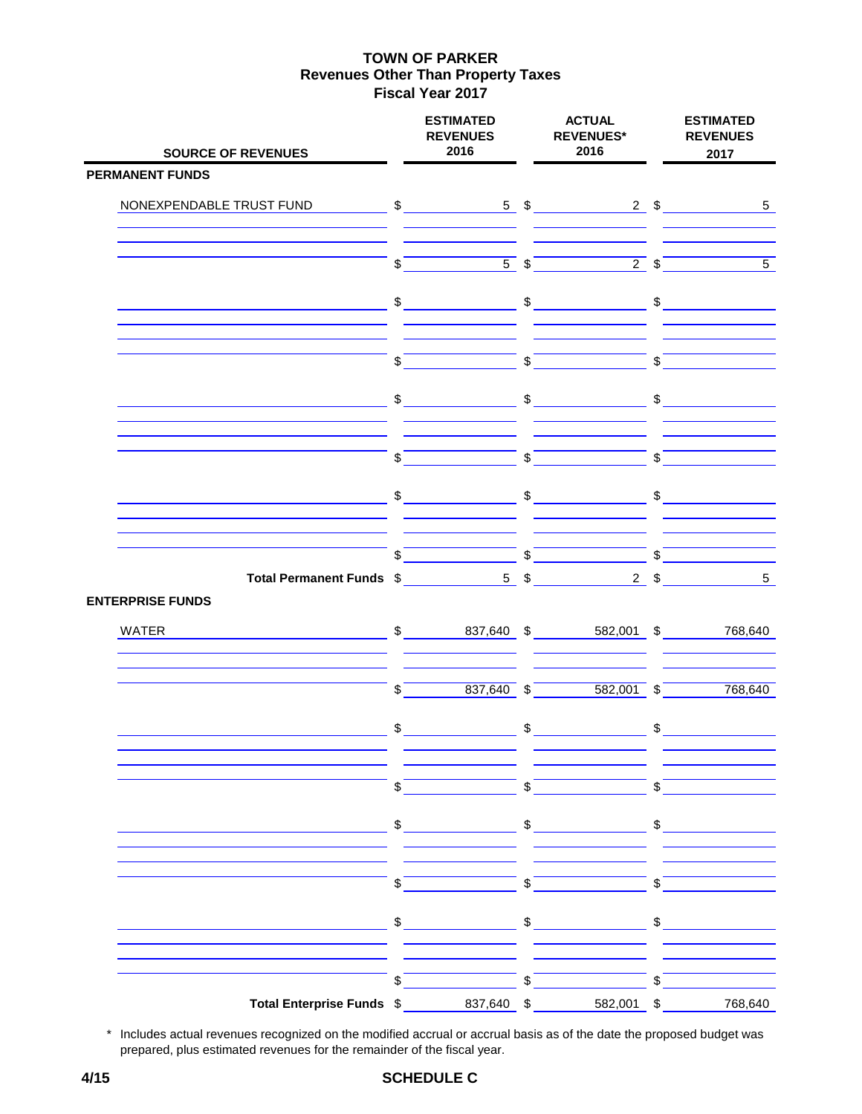| <b>SOURCE OF REVENUES</b>               |                         | <b>ESTIMATED</b><br><b>REVENUES</b><br>2016   |                           | <b>ACTUAL</b><br><b>REVENUES*</b><br>2016                                                                                                                                                                                                                                                                                                                                                                                                                       |                       | <b>ESTIMATED</b><br><b>REVENUES</b><br>2017 |
|-----------------------------------------|-------------------------|-----------------------------------------------|---------------------------|-----------------------------------------------------------------------------------------------------------------------------------------------------------------------------------------------------------------------------------------------------------------------------------------------------------------------------------------------------------------------------------------------------------------------------------------------------------------|-----------------------|---------------------------------------------|
| <b>PERMANENT FUNDS</b>                  |                         |                                               |                           |                                                                                                                                                                                                                                                                                                                                                                                                                                                                 |                       |                                             |
| NONEXPENDABLE TRUST FUND                |                         |                                               |                           | $\sim$ \$ \$ 5\$ 2\$                                                                                                                                                                                                                                                                                                                                                                                                                                            |                       | $5\phantom{.0}$                             |
|                                         | \$                      |                                               | $5 \sqrt{3}$              | $2 \sqrt{3}$                                                                                                                                                                                                                                                                                                                                                                                                                                                    |                       | $\overline{5}$                              |
|                                         |                         | $\mathfrak{S}$                                |                           | $\sim$                                                                                                                                                                                                                                                                                                                                                                                                                                                          | $\frac{1}{2}$         |                                             |
|                                         | \$                      |                                               | $\sqrt{s}$                |                                                                                                                                                                                                                                                                                                                                                                                                                                                                 | $\sqrt{5}$            |                                             |
|                                         | $\mathfrak{S}^-$        |                                               |                           | $\frac{1}{2}$                                                                                                                                                                                                                                                                                                                                                                                                                                                   | \$                    |                                             |
|                                         | $\mathfrak{S}$          |                                               |                           | $\sqrt{S}$                                                                                                                                                                                                                                                                                                                                                                                                                                                      | $\overline{\text{S}}$ |                                             |
|                                         |                         |                                               |                           | $\begin{array}{ccc}\n\text{\$} & \text{\$} & \text{\$} & \text{\$} & \text{\$} & \text{\$} & \text{\$} & \text{\$} & \text{\$} & \text{\$} & \text{\$} & \text{\$} & \text{\$} & \text{\$} & \text{\$} & \text{\$} & \text{\$} & \text{\$} & \text{\$} & \text{\$} & \text{\$} & \text{\$} & \text{\$} & \text{\$} & \text{\$} & \text{\$} & \text{\$} & \text{\$} & \text{\$} & \text{\$} & \text{\$} & \text{\$} & \text{\$} & \text{\$} & \text{\$} & \text$ |                       |                                             |
|                                         |                         |                                               |                           |                                                                                                                                                                                                                                                                                                                                                                                                                                                                 | $\sqrt[6]{}$          |                                             |
| <b>ENTERPRISE FUNDS</b>                 |                         |                                               |                           |                                                                                                                                                                                                                                                                                                                                                                                                                                                                 | $2 \quad$             | 5 <sup>5</sup>                              |
| WATER<br>$$837,640$ \$582,001 \$768,640 |                         |                                               |                           |                                                                                                                                                                                                                                                                                                                                                                                                                                                                 |                       |                                             |
|                                         | $\sqrt[6]{\frac{1}{2}}$ | $837,640$ \$                                  |                           | $582,001$ \$                                                                                                                                                                                                                                                                                                                                                                                                                                                    |                       | 768,640                                     |
|                                         |                         | $\sim$                                        |                           | $\qquad \qquad \  \  \, {\mathsf S} \underline{\hspace{1cm}} \underline{\hspace{1cm}} \qquad \qquad \  \  \, \underline{\hspace{1cm}}$                                                                                                                                                                                                                                                                                                                          |                       | $\frac{1}{2}$                               |
|                                         | $\sqrt[6]{}$            |                                               | $\sqrt[3]{\phantom{a}^2}$ |                                                                                                                                                                                                                                                                                                                                                                                                                                                                 | $\sqrt{s}$            |                                             |
|                                         |                         | $\begin{array}{c c} \updownarrow \end{array}$ |                           | $\frac{1}{2}$                                                                                                                                                                                                                                                                                                                                                                                                                                                   |                       | $\frac{1}{2}$                               |
|                                         | $\sqrt[6]{}$            |                                               | $\sqrt[3]{ }$             |                                                                                                                                                                                                                                                                                                                                                                                                                                                                 | \$                    |                                             |
|                                         | $\frac{1}{2}$           |                                               |                           | $\sim$                                                                                                                                                                                                                                                                                                                                                                                                                                                          | \$                    |                                             |
|                                         | \$                      |                                               | \$                        |                                                                                                                                                                                                                                                                                                                                                                                                                                                                 | \$                    |                                             |
| Total Enterprise Funds \$               |                         | 837,640 \$                                    |                           | 582,001 \$                                                                                                                                                                                                                                                                                                                                                                                                                                                      |                       | 768,640                                     |